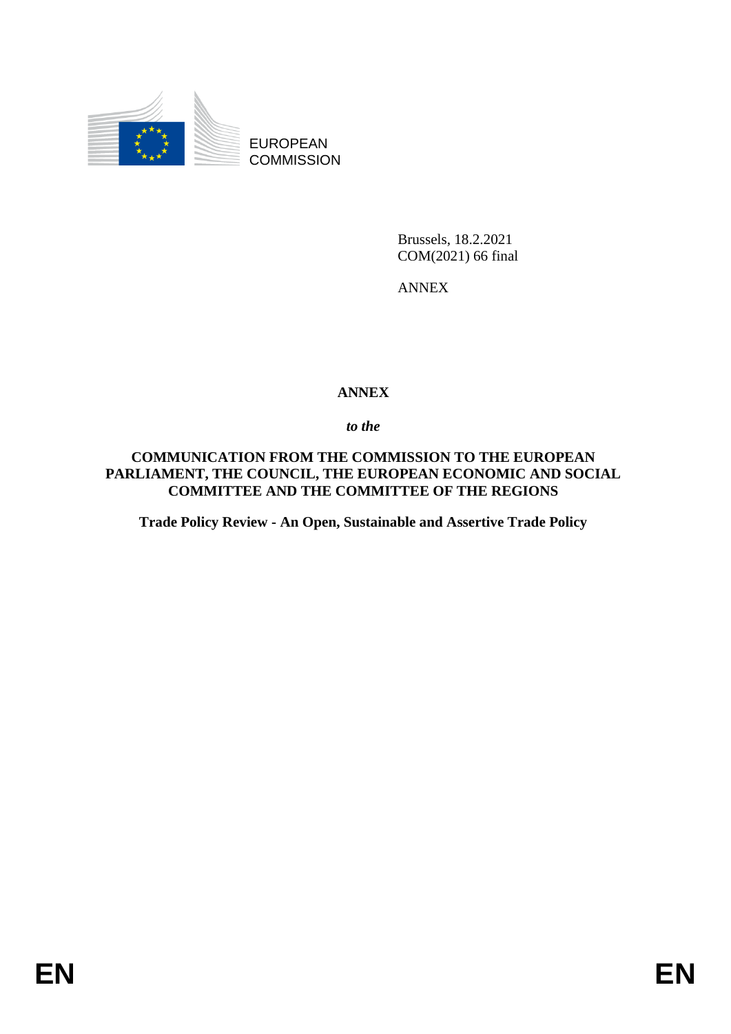

EUROPEAN **COMMISSION** 

> Brussels, 18.2.2021 COM(2021) 66 final

ANNEX

# **ANNEX**

*to the* 

**COMMUNICATION FROM THE COMMISSION TO THE EUROPEAN PARLIAMENT, THE COUNCIL, THE EUROPEAN ECONOMIC AND SOCIAL COMMITTEE AND THE COMMITTEE OF THE REGIONS**

**Trade Policy Review - An Open, Sustainable and Assertive Trade Policy**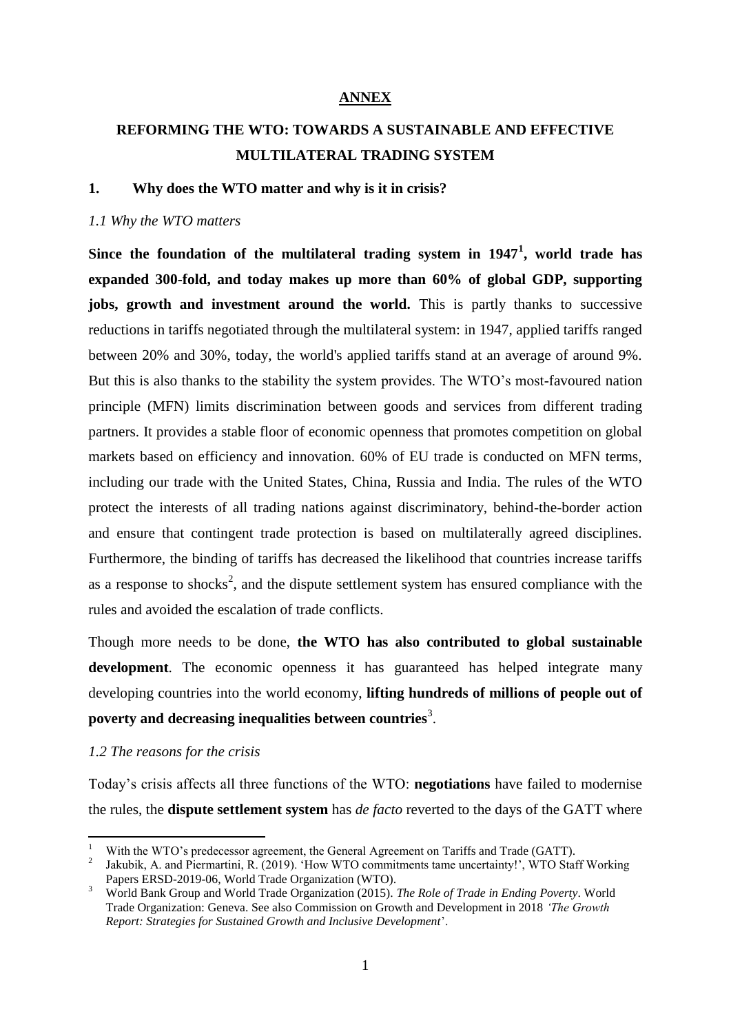# **ANNEX**

# **REFORMING THE WTO: TOWARDS A SUSTAINABLE AND EFFECTIVE MULTILATERAL TRADING SYSTEM**

## **1. Why does the WTO matter and why is it in crisis?**

#### *1.1 Why the WTO matters*

**Since the foundation of the multilateral trading system in 1947<sup>1</sup> , world trade has expanded 300-fold, and today makes up more than 60% of global GDP, supporting jobs, growth and investment around the world.** This is partly thanks to successive reductions in tariffs negotiated through the multilateral system: in 1947, applied tariffs ranged between 20% and 30%, today, the world's applied tariffs stand at an average of around 9%. But this is also thanks to the stability the system provides. The WTO's most-favoured nation principle (MFN) limits discrimination between goods and services from different trading partners. It provides a stable floor of economic openness that promotes competition on global markets based on efficiency and innovation. 60% of EU trade is conducted on MFN terms, including our trade with the United States, China, Russia and India. The rules of the WTO protect the interests of all trading nations against discriminatory, behind-the-border action and ensure that contingent trade protection is based on multilaterally agreed disciplines. Furthermore, the binding of tariffs has decreased the likelihood that countries increase tariffs as a response to shocks<sup>2</sup>, and the dispute settlement system has ensured compliance with the rules and avoided the escalation of trade conflicts.

Though more needs to be done, **the WTO has also contributed to global sustainable development**. The economic openness it has guaranteed has helped integrate many developing countries into the world economy, **lifting hundreds of millions of people out of poverty and decreasing inequalities between countries**<sup>3</sup> .

### *1.2 The reasons for the crisis*

1

Today's crisis affects all three functions of the WTO: **negotiations** have failed to modernise the rules, the **dispute settlement system** has *de facto* reverted to the days of the GATT where

<sup>1</sup> With the WTO's predecessor agreement, the General Agreement on Tariffs and Trade (GATT).

<sup>2</sup> Jakubik, A. and Piermartini, R. (2019). 'How WTO commitments tame uncertainty!', WTO Staff Working Papers ERSD-2019-06, World Trade Organization (WTO).

<sup>3</sup> World Bank Group and World Trade Organization (2015). *The Role of Trade in Ending Poverty*. World Trade Organization: Geneva. See also Commission on Growth and Development in 2018 *'The Growth Report: Strategies for Sustained Growth and Inclusive Development*'.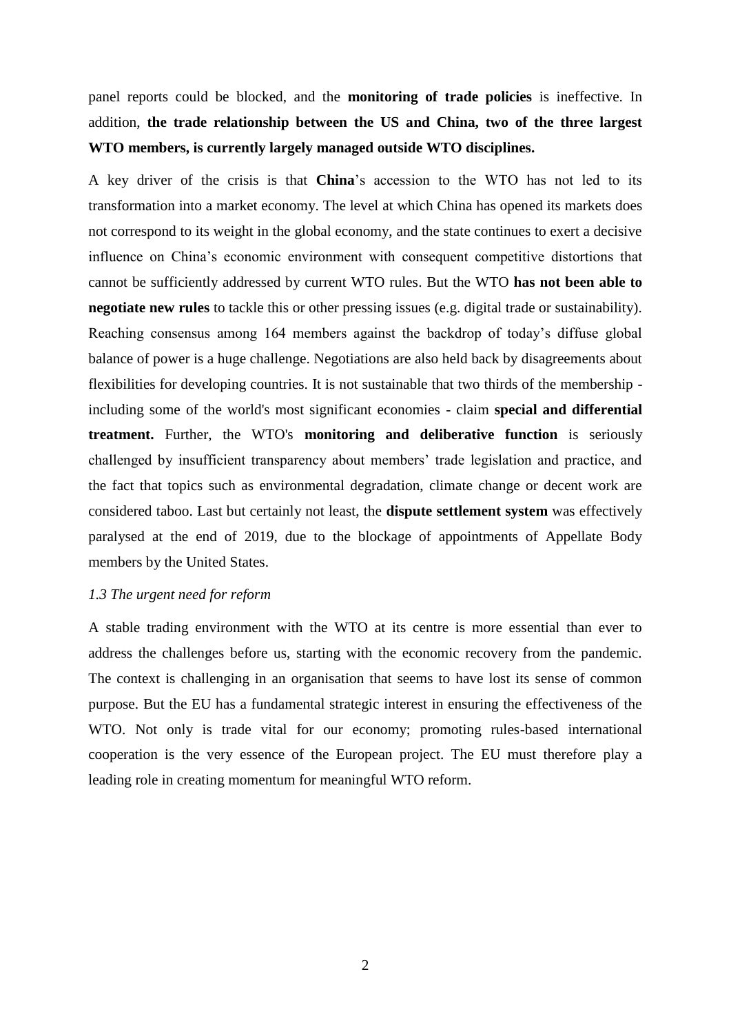panel reports could be blocked, and the **monitoring of trade policies** is ineffective. In addition, **the trade relationship between the US and China, two of the three largest WTO members, is currently largely managed outside WTO disciplines.**

A key driver of the crisis is that **China**'s accession to the WTO has not led to its transformation into a market economy. The level at which China has opened its markets does not correspond to its weight in the global economy, and the state continues to exert a decisive influence on China's economic environment with consequent competitive distortions that cannot be sufficiently addressed by current WTO rules. But the WTO **has not been able to negotiate new rules** to tackle this or other pressing issues (e.g. digital trade or sustainability). Reaching consensus among 164 members against the backdrop of today's diffuse global balance of power is a huge challenge. Negotiations are also held back by disagreements about flexibilities for developing countries. It is not sustainable that two thirds of the membership including some of the world's most significant economies - claim **special and differential treatment.** Further, the WTO's **monitoring and deliberative function** is seriously challenged by insufficient transparency about members' trade legislation and practice, and the fact that topics such as environmental degradation, climate change or decent work are considered taboo. Last but certainly not least, the **dispute settlement system** was effectively paralysed at the end of 2019, due to the blockage of appointments of Appellate Body members by the United States.

#### *1.3 The urgent need for reform*

A stable trading environment with the WTO at its centre is more essential than ever to address the challenges before us, starting with the economic recovery from the pandemic. The context is challenging in an organisation that seems to have lost its sense of common purpose. But the EU has a fundamental strategic interest in ensuring the effectiveness of the WTO. Not only is trade vital for our economy; promoting rules-based international cooperation is the very essence of the European project. The EU must therefore play a leading role in creating momentum for meaningful WTO reform.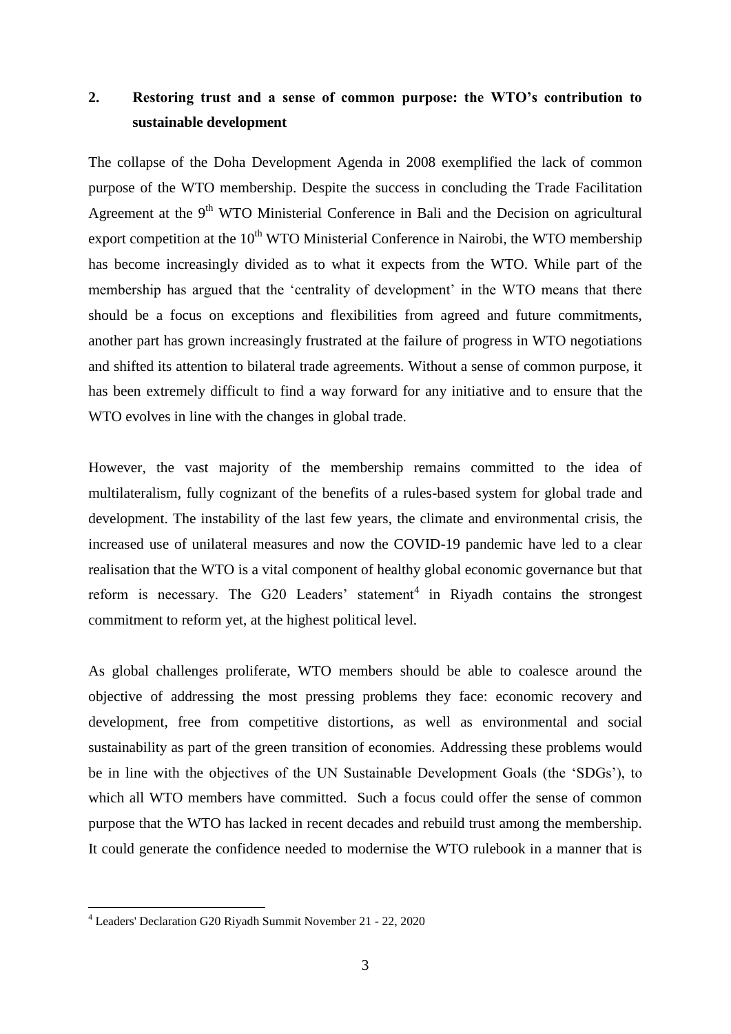# **2. Restoring trust and a sense of common purpose: the WTO's contribution to sustainable development**

The collapse of the Doha Development Agenda in 2008 exemplified the lack of common purpose of the WTO membership. Despite the success in concluding the Trade Facilitation Agreement at the 9<sup>th</sup> WTO Ministerial Conference in Bali and the Decision on agricultural export competition at the  $10<sup>th</sup>$  WTO Ministerial Conference in Nairobi, the WTO membership has become increasingly divided as to what it expects from the WTO. While part of the membership has argued that the 'centrality of development' in the WTO means that there should be a focus on exceptions and flexibilities from agreed and future commitments, another part has grown increasingly frustrated at the failure of progress in WTO negotiations and shifted its attention to bilateral trade agreements. Without a sense of common purpose, it has been extremely difficult to find a way forward for any initiative and to ensure that the WTO evolves in line with the changes in global trade.

However, the vast majority of the membership remains committed to the idea of multilateralism, fully cognizant of the benefits of a rules-based system for global trade and development. The instability of the last few years, the climate and environmental crisis, the increased use of unilateral measures and now the COVID-19 pandemic have led to a clear realisation that the WTO is a vital component of healthy global economic governance but that reform is necessary. The G20 Leaders' statement<sup>4</sup> in Riyadh contains the strongest commitment to reform yet, at the highest political level.

As global challenges proliferate, WTO members should be able to coalesce around the objective of addressing the most pressing problems they face: economic recovery and development, free from competitive distortions, as well as environmental and social sustainability as part of the green transition of economies. Addressing these problems would be in line with the objectives of the UN Sustainable Development Goals (the 'SDGs'), to which all WTO members have committed. Such a focus could offer the sense of common purpose that the WTO has lacked in recent decades and rebuild trust among the membership. It could generate the confidence needed to modernise the WTO rulebook in a manner that is

1

<sup>4</sup> Leaders' Declaration G20 Riyadh Summit November 21 - 22, 2020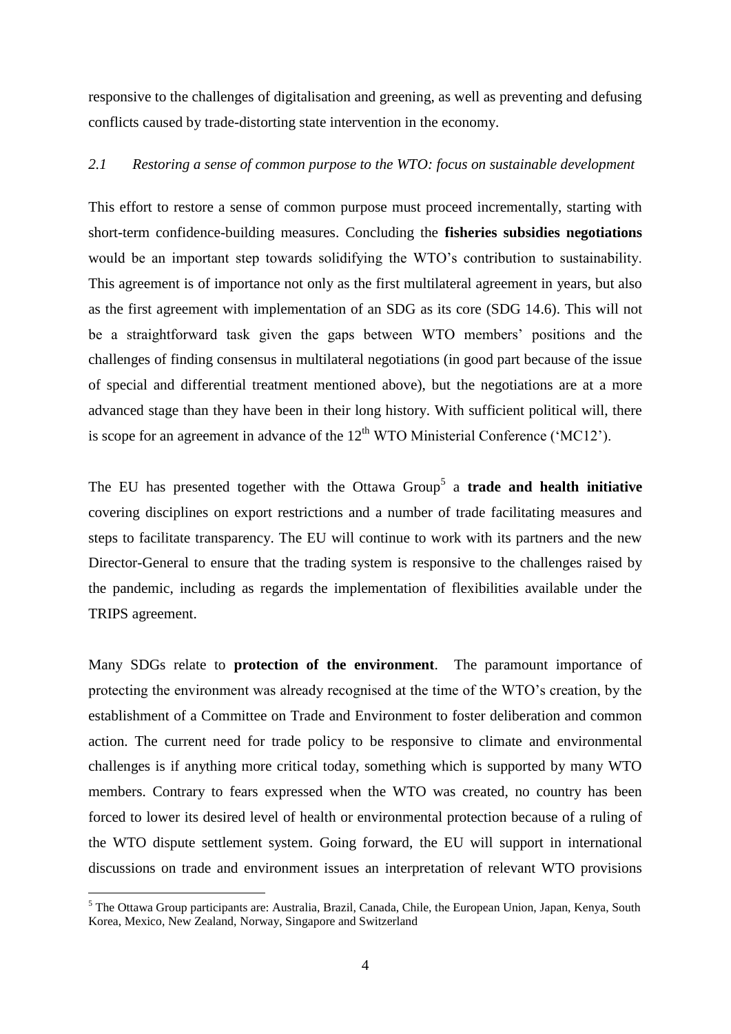responsive to the challenges of digitalisation and greening, as well as preventing and defusing conflicts caused by trade-distorting state intervention in the economy.

#### *2.1 Restoring a sense of common purpose to the WTO: focus on sustainable development*

This effort to restore a sense of common purpose must proceed incrementally, starting with short-term confidence-building measures. Concluding the **fisheries subsidies negotiations** would be an important step towards solidifying the WTO's contribution to sustainability. This agreement is of importance not only as the first multilateral agreement in years, but also as the first agreement with implementation of an SDG as its core (SDG 14.6). This will not be a straightforward task given the gaps between WTO members' positions and the challenges of finding consensus in multilateral negotiations (in good part because of the issue of special and differential treatment mentioned above), but the negotiations are at a more advanced stage than they have been in their long history. With sufficient political will, there is scope for an agreement in advance of the  $12<sup>th</sup>$  WTO Ministerial Conference ('MC12').

The EU has presented together with the Ottawa Group<sup>5</sup> a **trade and health initiative** covering disciplines on export restrictions and a number of trade facilitating measures and steps to facilitate transparency. The EU will continue to work with its partners and the new Director-General to ensure that the trading system is responsive to the challenges raised by the pandemic, including as regards the implementation of flexibilities available under the TRIPS agreement.

Many SDGs relate to **protection of the environment**. The paramount importance of protecting the environment was already recognised at the time of the WTO's creation, by the establishment of a Committee on Trade and Environment to foster deliberation and common action. The current need for trade policy to be responsive to climate and environmental challenges is if anything more critical today, something which is supported by many WTO members. Contrary to fears expressed when the WTO was created, no country has been forced to lower its desired level of health or environmental protection because of a ruling of the WTO dispute settlement system. Going forward, the EU will support in international discussions on trade and environment issues an interpretation of relevant WTO provisions

<u>.</u>

<sup>5</sup> The Ottawa Group participants are: Australia, Brazil, Canada, Chile, the European Union, Japan, Kenya, South Korea, Mexico, New Zealand, Norway, Singapore and Switzerland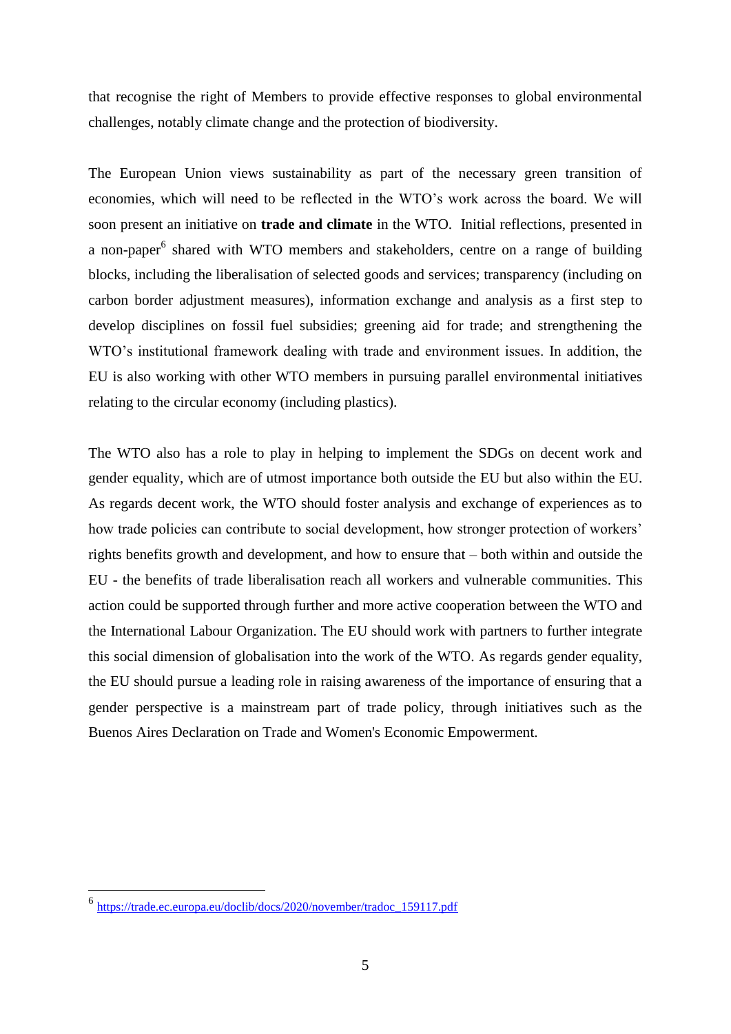that recognise the right of Members to provide effective responses to global environmental challenges, notably climate change and the protection of biodiversity.

The European Union views sustainability as part of the necessary green transition of economies, which will need to be reflected in the WTO's work across the board. We will soon present an initiative on **trade and climate** in the WTO. Initial reflections, presented in a non-paper<sup>6</sup> shared with WTO members and stakeholders, centre on a range of building blocks, including the liberalisation of selected goods and services; transparency (including on carbon border adjustment measures), information exchange and analysis as a first step to develop disciplines on fossil fuel subsidies; greening aid for trade; and strengthening the WTO's institutional framework dealing with trade and environment issues. In addition, the EU is also working with other WTO members in pursuing parallel environmental initiatives relating to the circular economy (including plastics).

The WTO also has a role to play in helping to implement the SDGs on decent work and gender equality, which are of utmost importance both outside the EU but also within the EU. As regards decent work, the WTO should foster analysis and exchange of experiences as to how trade policies can contribute to social development, how stronger protection of workers' rights benefits growth and development, and how to ensure that – both within and outside the EU - the benefits of trade liberalisation reach all workers and vulnerable communities. This action could be supported through further and more active cooperation between the WTO and the International Labour Organization. The EU should work with partners to further integrate this social dimension of globalisation into the work of the WTO. As regards gender equality, the EU should pursue a leading role in raising awareness of the importance of ensuring that a gender perspective is a mainstream part of trade policy, through initiatives such as the Buenos Aires Declaration on Trade and Women's Economic Empowerment.

<u>.</u>

<sup>6</sup> [https://trade.ec.europa.eu/doclib/docs/2020/november/tradoc\\_159117.pdf](https://trade.ec.europa.eu/doclib/docs/2020/november/tradoc_159117.pdf)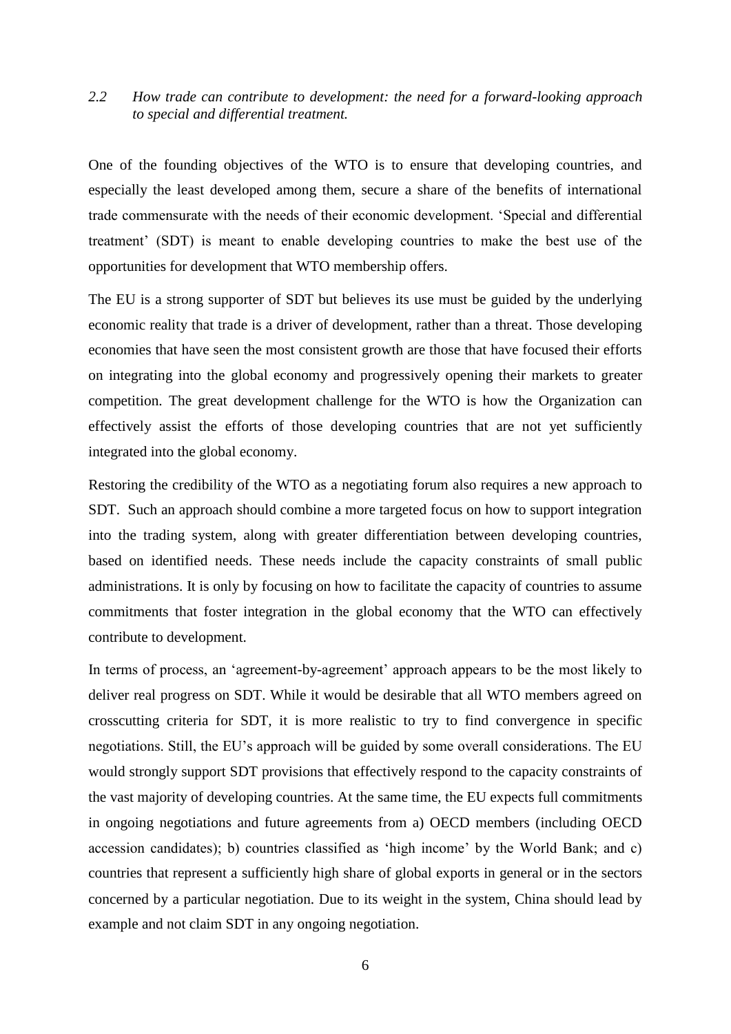# *2.2 How trade can contribute to development: the need for a forward-looking approach to special and differential treatment.*

One of the founding objectives of the WTO is to ensure that developing countries, and especially the least developed among them, secure a share of the benefits of international trade commensurate with the needs of their economic development. 'Special and differential treatment' (SDT) is meant to enable developing countries to make the best use of the opportunities for development that WTO membership offers.

The EU is a strong supporter of SDT but believes its use must be guided by the underlying economic reality that trade is a driver of development, rather than a threat. Those developing economies that have seen the most consistent growth are those that have focused their efforts on integrating into the global economy and progressively opening their markets to greater competition. The great development challenge for the WTO is how the Organization can effectively assist the efforts of those developing countries that are not yet sufficiently integrated into the global economy.

Restoring the credibility of the WTO as a negotiating forum also requires a new approach to SDT. Such an approach should combine a more targeted focus on how to support integration into the trading system, along with greater differentiation between developing countries, based on identified needs. These needs include the capacity constraints of small public administrations. It is only by focusing on how to facilitate the capacity of countries to assume commitments that foster integration in the global economy that the WTO can effectively contribute to development.

In terms of process, an 'agreement-by-agreement' approach appears to be the most likely to deliver real progress on SDT. While it would be desirable that all WTO members agreed on crosscutting criteria for SDT, it is more realistic to try to find convergence in specific negotiations. Still, the EU's approach will be guided by some overall considerations. The EU would strongly support SDT provisions that effectively respond to the capacity constraints of the vast majority of developing countries. At the same time, the EU expects full commitments in ongoing negotiations and future agreements from a) OECD members (including OECD accession candidates); b) countries classified as 'high income' by the World Bank; and c) countries that represent a sufficiently high share of global exports in general or in the sectors concerned by a particular negotiation. Due to its weight in the system, China should lead by example and not claim SDT in any ongoing negotiation.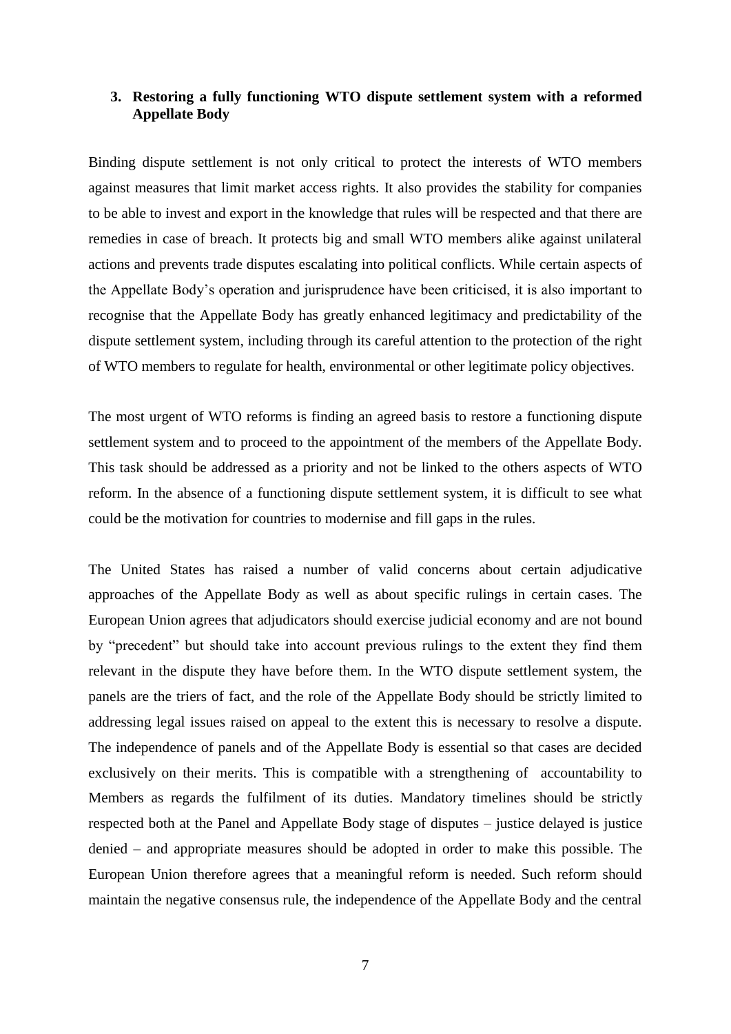# **3. Restoring a fully functioning WTO dispute settlement system with a reformed Appellate Body**

Binding dispute settlement is not only critical to protect the interests of WTO members against measures that limit market access rights. It also provides the stability for companies to be able to invest and export in the knowledge that rules will be respected and that there are remedies in case of breach. It protects big and small WTO members alike against unilateral actions and prevents trade disputes escalating into political conflicts. While certain aspects of the Appellate Body's operation and jurisprudence have been criticised, it is also important to recognise that the Appellate Body has greatly enhanced legitimacy and predictability of the dispute settlement system, including through its careful attention to the protection of the right of WTO members to regulate for health, environmental or other legitimate policy objectives.

The most urgent of WTO reforms is finding an agreed basis to restore a functioning dispute settlement system and to proceed to the appointment of the members of the Appellate Body. This task should be addressed as a priority and not be linked to the others aspects of WTO reform. In the absence of a functioning dispute settlement system, it is difficult to see what could be the motivation for countries to modernise and fill gaps in the rules.

The United States has raised a number of valid concerns about certain adjudicative approaches of the Appellate Body as well as about specific rulings in certain cases. The European Union agrees that adjudicators should exercise judicial economy and are not bound by "precedent" but should take into account previous rulings to the extent they find them relevant in the dispute they have before them. In the WTO dispute settlement system, the panels are the triers of fact, and the role of the Appellate Body should be strictly limited to addressing legal issues raised on appeal to the extent this is necessary to resolve a dispute. The independence of panels and of the Appellate Body is essential so that cases are decided exclusively on their merits. This is compatible with a strengthening of accountability to Members as regards the fulfilment of its duties. Mandatory timelines should be strictly respected both at the Panel and Appellate Body stage of disputes – justice delayed is justice denied – and appropriate measures should be adopted in order to make this possible. The European Union therefore agrees that a meaningful reform is needed. Such reform should maintain the negative consensus rule, the independence of the Appellate Body and the central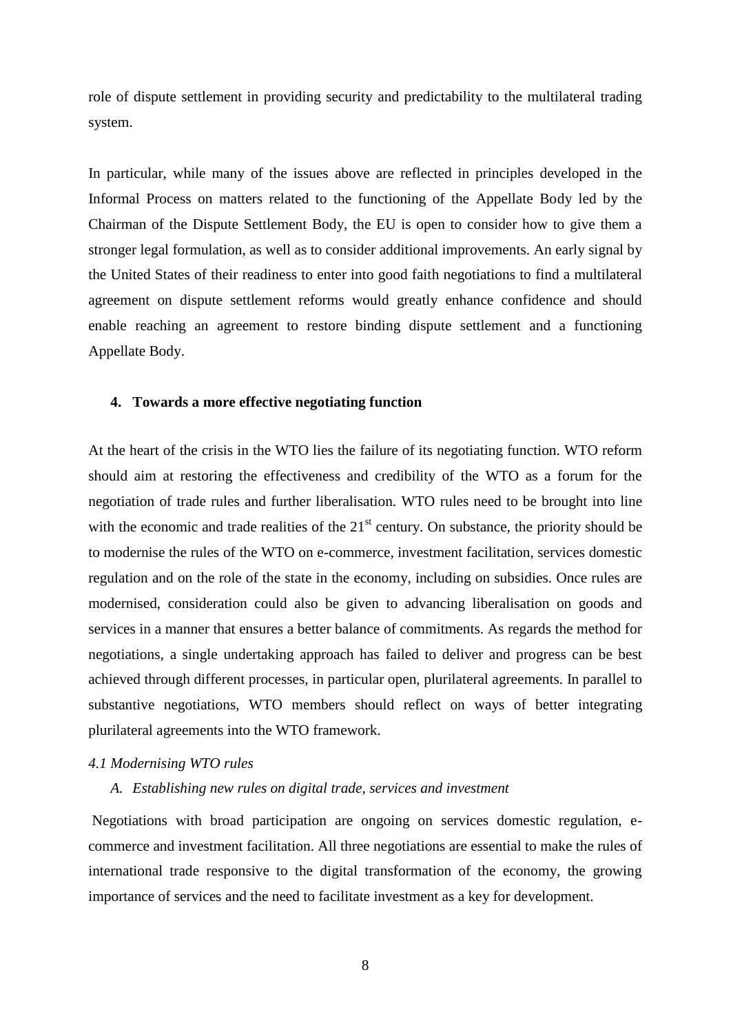role of dispute settlement in providing security and predictability to the multilateral trading system.

In particular, while many of the issues above are reflected in principles developed in the Informal Process on matters related to the functioning of the Appellate Body led by the Chairman of the Dispute Settlement Body, the EU is open to consider how to give them a stronger legal formulation, as well as to consider additional improvements. An early signal by the United States of their readiness to enter into good faith negotiations to find a multilateral agreement on dispute settlement reforms would greatly enhance confidence and should enable reaching an agreement to restore binding dispute settlement and a functioning Appellate Body.

#### **4. Towards a more effective negotiating function**

At the heart of the crisis in the WTO lies the failure of its negotiating function. WTO reform should aim at restoring the effectiveness and credibility of the WTO as a forum for the negotiation of trade rules and further liberalisation. WTO rules need to be brought into line with the economic and trade realities of the  $21<sup>st</sup>$  century. On substance, the priority should be to modernise the rules of the WTO on e-commerce, investment facilitation, services domestic regulation and on the role of the state in the economy, including on subsidies. Once rules are modernised, consideration could also be given to advancing liberalisation on goods and services in a manner that ensures a better balance of commitments. As regards the method for negotiations, a single undertaking approach has failed to deliver and progress can be best achieved through different processes, in particular open, plurilateral agreements. In parallel to substantive negotiations, WTO members should reflect on ways of better integrating plurilateral agreements into the WTO framework.

### *4.1 Modernising WTO rules*

### *A. Establishing new rules on digital trade, services and investment*

Negotiations with broad participation are ongoing on services domestic regulation, ecommerce and investment facilitation. All three negotiations are essential to make the rules of international trade responsive to the digital transformation of the economy, the growing importance of services and the need to facilitate investment as a key for development.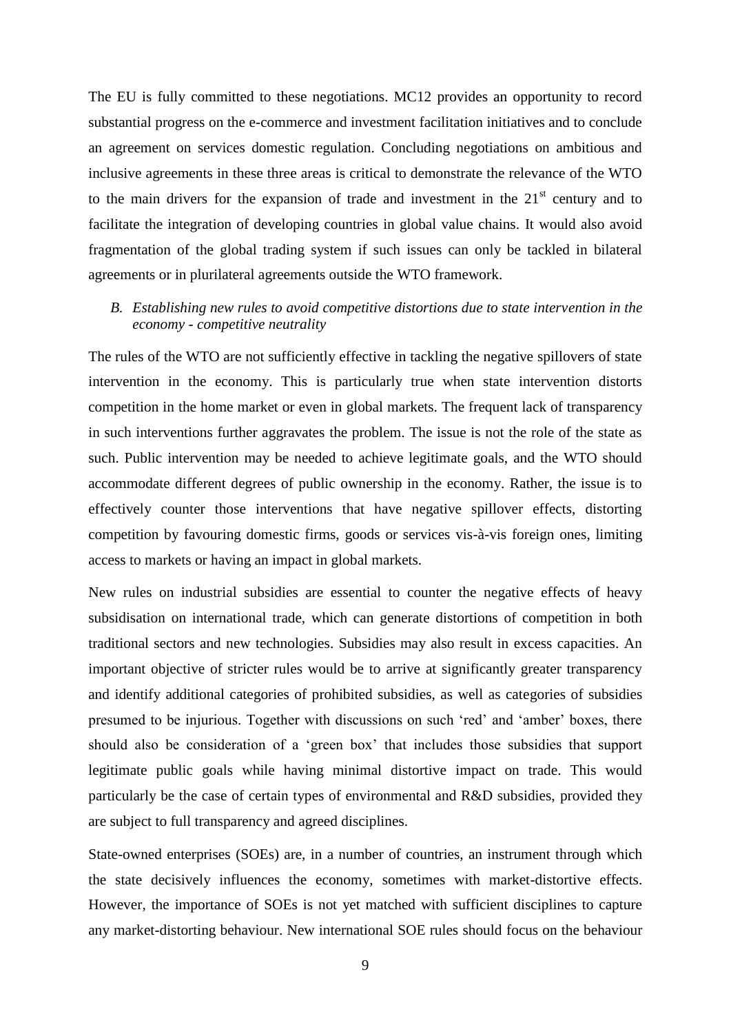The EU is fully committed to these negotiations. MC12 provides an opportunity to record substantial progress on the e-commerce and investment facilitation initiatives and to conclude an agreement on services domestic regulation. Concluding negotiations on ambitious and inclusive agreements in these three areas is critical to demonstrate the relevance of the WTO to the main drivers for the expansion of trade and investment in the  $21<sup>st</sup>$  century and to facilitate the integration of developing countries in global value chains. It would also avoid fragmentation of the global trading system if such issues can only be tackled in bilateral agreements or in plurilateral agreements outside the WTO framework.

# *B. Establishing new rules to avoid competitive distortions due to state intervention in the economy - competitive neutrality*

The rules of the WTO are not sufficiently effective in tackling the negative spillovers of state intervention in the economy. This is particularly true when state intervention distorts competition in the home market or even in global markets. The frequent lack of transparency in such interventions further aggravates the problem. The issue is not the role of the state as such. Public intervention may be needed to achieve legitimate goals, and the WTO should accommodate different degrees of public ownership in the economy. Rather, the issue is to effectively counter those interventions that have negative spillover effects, distorting competition by favouring domestic firms, goods or services vis-à-vis foreign ones, limiting access to markets or having an impact in global markets.

New rules on industrial subsidies are essential to counter the negative effects of heavy subsidisation on international trade, which can generate distortions of competition in both traditional sectors and new technologies. Subsidies may also result in excess capacities. An important objective of stricter rules would be to arrive at significantly greater transparency and identify additional categories of prohibited subsidies, as well as categories of subsidies presumed to be injurious. Together with discussions on such 'red' and 'amber' boxes, there should also be consideration of a 'green box' that includes those subsidies that support legitimate public goals while having minimal distortive impact on trade. This would particularly be the case of certain types of environmental and R&D subsidies, provided they are subject to full transparency and agreed disciplines.

State-owned enterprises (SOEs) are, in a number of countries, an instrument through which the state decisively influences the economy, sometimes with market-distortive effects. However, the importance of SOEs is not yet matched with sufficient disciplines to capture any market-distorting behaviour. New international SOE rules should focus on the behaviour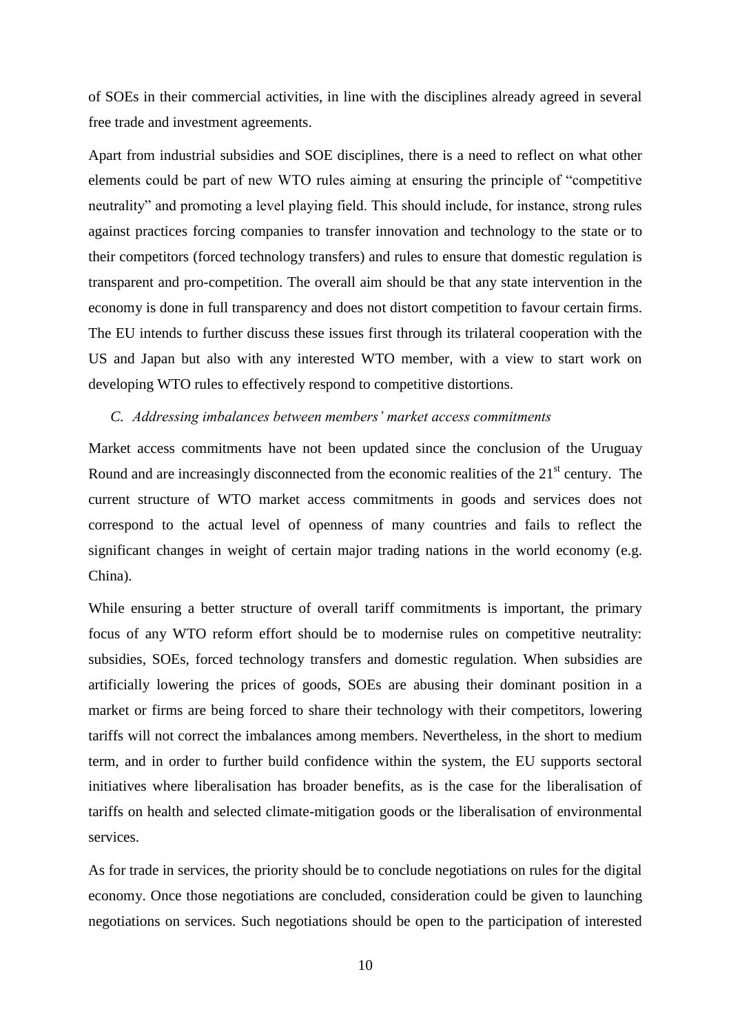of SOEs in their commercial activities, in line with the disciplines already agreed in several free trade and investment agreements.

Apart from industrial subsidies and SOE disciplines, there is a need to reflect on what other elements could be part of new WTO rules aiming at ensuring the principle of "competitive neutrality" and promoting a level playing field. This should include, for instance, strong rules against practices forcing companies to transfer innovation and technology to the state or to their competitors (forced technology transfers) and rules to ensure that domestic regulation is transparent and pro-competition. The overall aim should be that any state intervention in the economy is done in full transparency and does not distort competition to favour certain firms. The EU intends to further discuss these issues first through its trilateral cooperation with the US and Japan but also with any interested WTO member, with a view to start work on developing WTO rules to effectively respond to competitive distortions.

#### *C. Addressing imbalances between members' market access commitments*

Market access commitments have not been updated since the conclusion of the Uruguay Round and are increasingly disconnected from the economic realities of the  $21<sup>st</sup>$  century. The current structure of WTO market access commitments in goods and services does not correspond to the actual level of openness of many countries and fails to reflect the significant changes in weight of certain major trading nations in the world economy (e.g. China).

While ensuring a better structure of overall tariff commitments is important, the primary focus of any WTO reform effort should be to modernise rules on competitive neutrality: subsidies, SOEs, forced technology transfers and domestic regulation. When subsidies are artificially lowering the prices of goods, SOEs are abusing their dominant position in a market or firms are being forced to share their technology with their competitors, lowering tariffs will not correct the imbalances among members. Nevertheless, in the short to medium term, and in order to further build confidence within the system, the EU supports sectoral initiatives where liberalisation has broader benefits, as is the case for the liberalisation of tariffs on health and selected climate-mitigation goods or the liberalisation of environmental services.

As for trade in services, the priority should be to conclude negotiations on rules for the digital economy. Once those negotiations are concluded, consideration could be given to launching negotiations on services. Such negotiations should be open to the participation of interested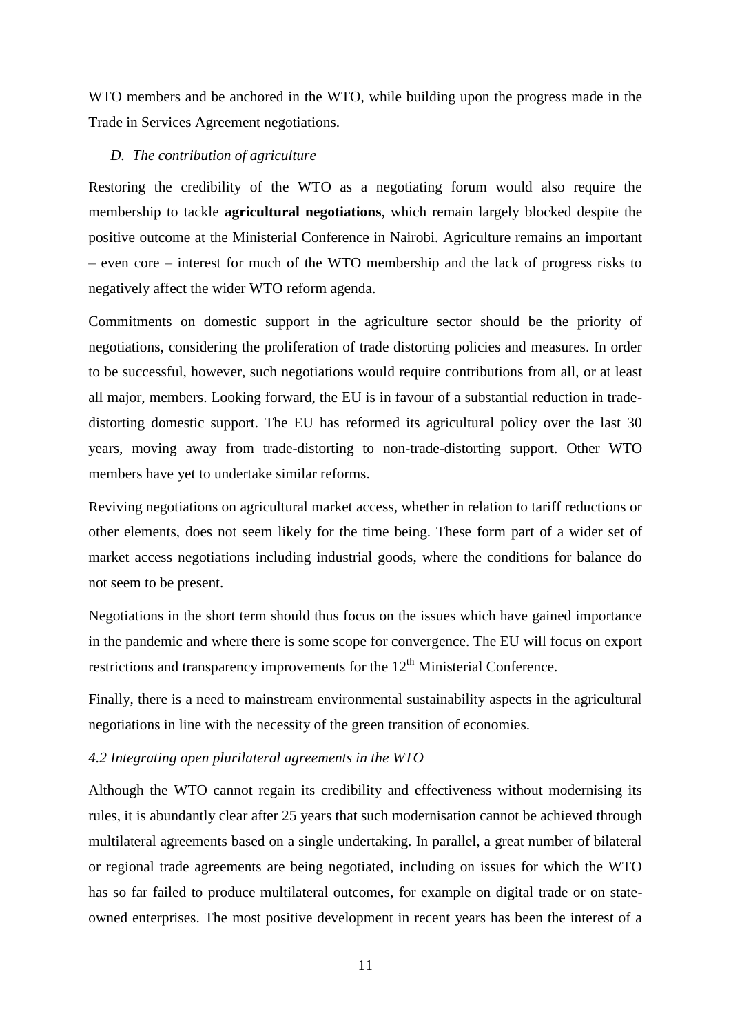WTO members and be anchored in the WTO, while building upon the progress made in the Trade in Services Agreement negotiations.

#### *D. The contribution of agriculture*

Restoring the credibility of the WTO as a negotiating forum would also require the membership to tackle **agricultural negotiations**, which remain largely blocked despite the positive outcome at the Ministerial Conference in Nairobi. Agriculture remains an important – even core – interest for much of the WTO membership and the lack of progress risks to negatively affect the wider WTO reform agenda.

Commitments on domestic support in the agriculture sector should be the priority of negotiations, considering the proliferation of trade distorting policies and measures. In order to be successful, however, such negotiations would require contributions from all, or at least all major, members. Looking forward, the EU is in favour of a substantial reduction in tradedistorting domestic support. The EU has reformed its agricultural policy over the last 30 years, moving away from trade-distorting to non-trade-distorting support. Other WTO members have yet to undertake similar reforms.

Reviving negotiations on agricultural market access, whether in relation to tariff reductions or other elements, does not seem likely for the time being. These form part of a wider set of market access negotiations including industrial goods, where the conditions for balance do not seem to be present.

Negotiations in the short term should thus focus on the issues which have gained importance in the pandemic and where there is some scope for convergence. The EU will focus on export restrictions and transparency improvements for the  $12<sup>th</sup>$  Ministerial Conference.

Finally, there is a need to mainstream environmental sustainability aspects in the agricultural negotiations in line with the necessity of the green transition of economies.

#### *4.2 Integrating open plurilateral agreements in the WTO*

Although the WTO cannot regain its credibility and effectiveness without modernising its rules, it is abundantly clear after 25 years that such modernisation cannot be achieved through multilateral agreements based on a single undertaking. In parallel, a great number of bilateral or regional trade agreements are being negotiated, including on issues for which the WTO has so far failed to produce multilateral outcomes, for example on digital trade or on stateowned enterprises. The most positive development in recent years has been the interest of a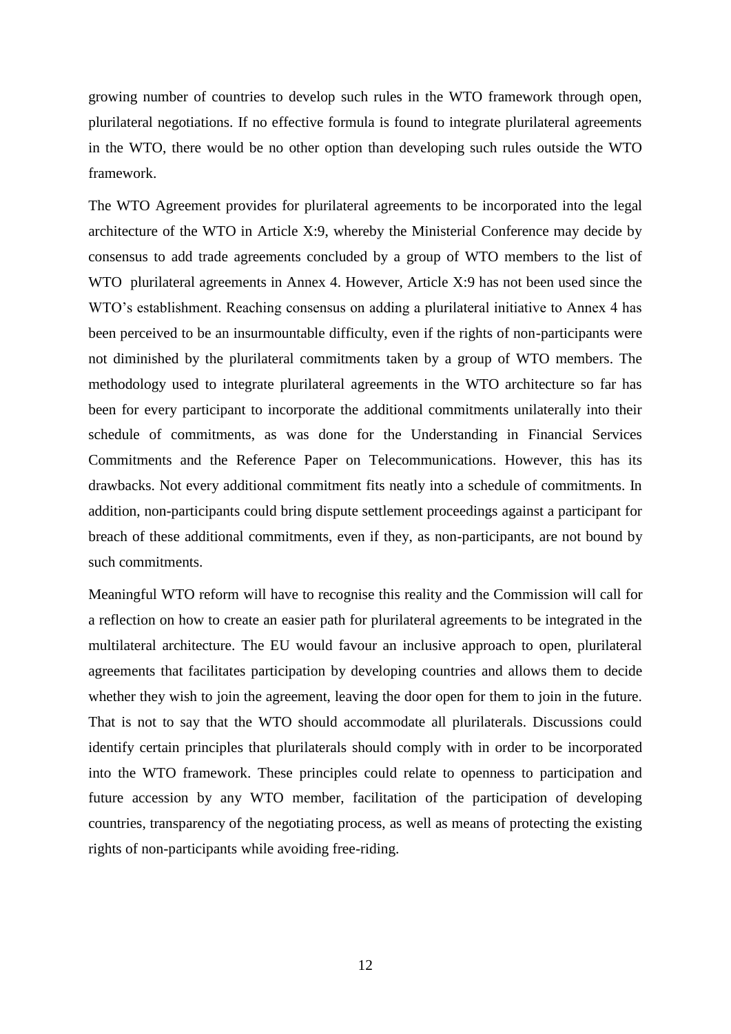growing number of countries to develop such rules in the WTO framework through open, plurilateral negotiations. If no effective formula is found to integrate plurilateral agreements in the WTO, there would be no other option than developing such rules outside the WTO framework.

The WTO Agreement provides for plurilateral agreements to be incorporated into the legal architecture of the WTO in Article X:9, whereby the Ministerial Conference may decide by consensus to add trade agreements concluded by a group of WTO members to the list of WTO plurilateral agreements in Annex 4. However, Article X:9 has not been used since the WTO's establishment. Reaching consensus on adding a plurilateral initiative to Annex 4 has been perceived to be an insurmountable difficulty, even if the rights of non-participants were not diminished by the plurilateral commitments taken by a group of WTO members. The methodology used to integrate plurilateral agreements in the WTO architecture so far has been for every participant to incorporate the additional commitments unilaterally into their schedule of commitments, as was done for the Understanding in Financial Services Commitments and the Reference Paper on Telecommunications. However, this has its drawbacks. Not every additional commitment fits neatly into a schedule of commitments. In addition, non-participants could bring dispute settlement proceedings against a participant for breach of these additional commitments, even if they, as non-participants, are not bound by such commitments.

Meaningful WTO reform will have to recognise this reality and the Commission will call for a reflection on how to create an easier path for plurilateral agreements to be integrated in the multilateral architecture. The EU would favour an inclusive approach to open, plurilateral agreements that facilitates participation by developing countries and allows them to decide whether they wish to join the agreement, leaving the door open for them to join in the future. That is not to say that the WTO should accommodate all plurilaterals. Discussions could identify certain principles that plurilaterals should comply with in order to be incorporated into the WTO framework. These principles could relate to openness to participation and future accession by any WTO member, facilitation of the participation of developing countries, transparency of the negotiating process, as well as means of protecting the existing rights of non-participants while avoiding free-riding.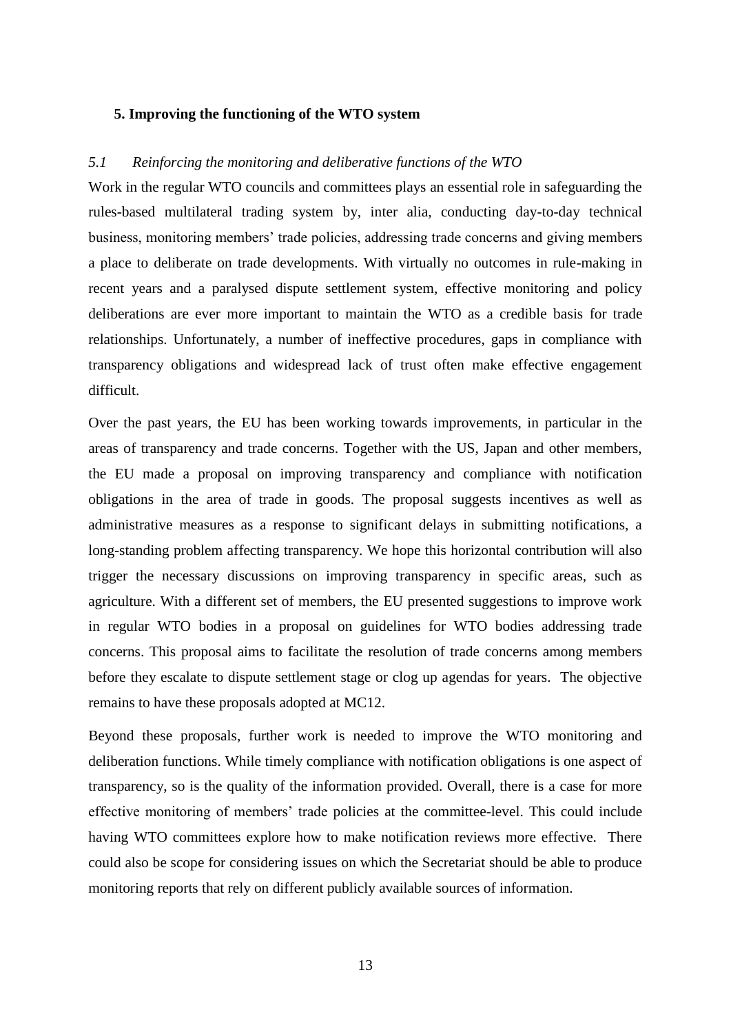## **5. Improving the functioning of the WTO system**

## *5.1 Reinforcing the monitoring and deliberative functions of the WTO*

Work in the regular WTO councils and committees plays an essential role in safeguarding the rules-based multilateral trading system by, inter alia, conducting day-to-day technical business, monitoring members' trade policies, addressing trade concerns and giving members a place to deliberate on trade developments. With virtually no outcomes in rule-making in recent years and a paralysed dispute settlement system, effective monitoring and policy deliberations are ever more important to maintain the WTO as a credible basis for trade relationships. Unfortunately, a number of ineffective procedures, gaps in compliance with transparency obligations and widespread lack of trust often make effective engagement difficult.

Over the past years, the EU has been working towards improvements, in particular in the areas of transparency and trade concerns. Together with the US, Japan and other members, the EU made a proposal on improving transparency and compliance with notification obligations in the area of trade in goods. The proposal suggests incentives as well as administrative measures as a response to significant delays in submitting notifications, a long-standing problem affecting transparency. We hope this horizontal contribution will also trigger the necessary discussions on improving transparency in specific areas, such as agriculture. With a different set of members, the EU presented suggestions to improve work in regular WTO bodies in a proposal on guidelines for WTO bodies addressing trade concerns. This proposal aims to facilitate the resolution of trade concerns among members before they escalate to dispute settlement stage or clog up agendas for years. The objective remains to have these proposals adopted at MC12.

Beyond these proposals, further work is needed to improve the WTO monitoring and deliberation functions. While timely compliance with notification obligations is one aspect of transparency, so is the quality of the information provided. Overall, there is a case for more effective monitoring of members' trade policies at the committee-level. This could include having WTO committees explore how to make notification reviews more effective. There could also be scope for considering issues on which the Secretariat should be able to produce monitoring reports that rely on different publicly available sources of information.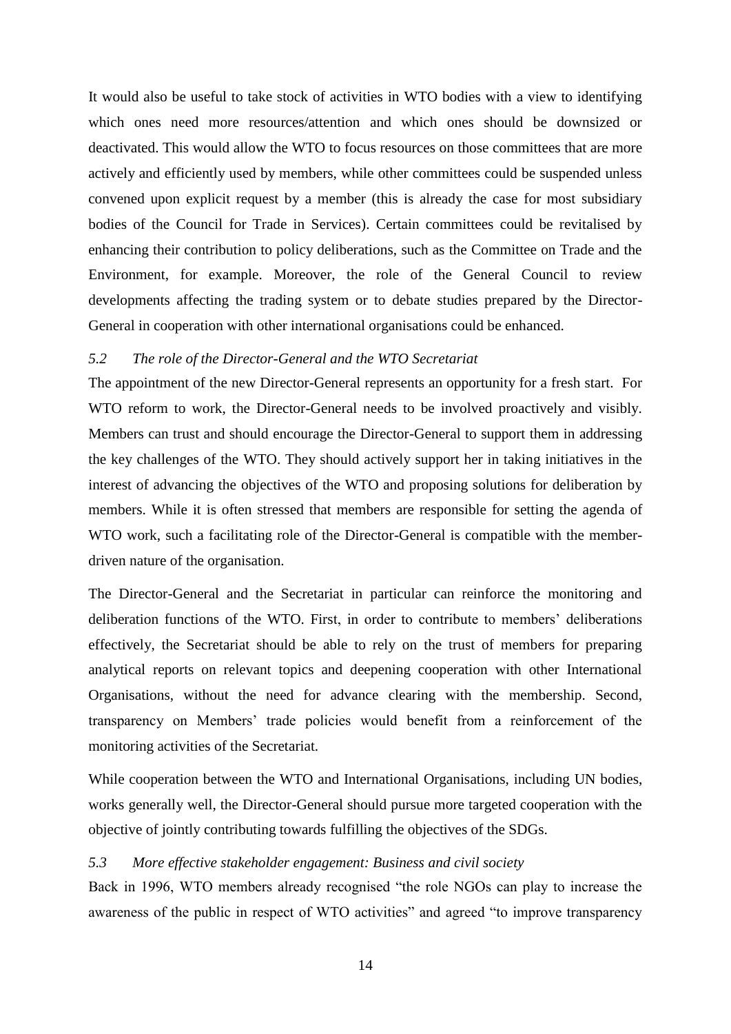It would also be useful to take stock of activities in WTO bodies with a view to identifying which ones need more resources/attention and which ones should be downsized or deactivated. This would allow the WTO to focus resources on those committees that are more actively and efficiently used by members, while other committees could be suspended unless convened upon explicit request by a member (this is already the case for most subsidiary bodies of the Council for Trade in Services). Certain committees could be revitalised by enhancing their contribution to policy deliberations, such as the Committee on Trade and the Environment, for example. Moreover, the role of the General Council to review developments affecting the trading system or to debate studies prepared by the Director-General in cooperation with other international organisations could be enhanced.

# *5.2 The role of the Director-General and the WTO Secretariat*

The appointment of the new Director-General represents an opportunity for a fresh start. For WTO reform to work, the Director-General needs to be involved proactively and visibly. Members can trust and should encourage the Director-General to support them in addressing the key challenges of the WTO. They should actively support her in taking initiatives in the interest of advancing the objectives of the WTO and proposing solutions for deliberation by members. While it is often stressed that members are responsible for setting the agenda of WTO work, such a facilitating role of the Director-General is compatible with the memberdriven nature of the organisation.

The Director-General and the Secretariat in particular can reinforce the monitoring and deliberation functions of the WTO. First, in order to contribute to members' deliberations effectively, the Secretariat should be able to rely on the trust of members for preparing analytical reports on relevant topics and deepening cooperation with other International Organisations, without the need for advance clearing with the membership. Second, transparency on Members' trade policies would benefit from a reinforcement of the monitoring activities of the Secretariat.

While cooperation between the WTO and International Organisations, including UN bodies, works generally well, the Director-General should pursue more targeted cooperation with the objective of jointly contributing towards fulfilling the objectives of the SDGs.

# *5.3 More effective stakeholder engagement: Business and civil society*

Back in 1996, WTO members already recognised "the role NGOs can play to increase the awareness of the public in respect of WTO activities" and agreed "to improve transparency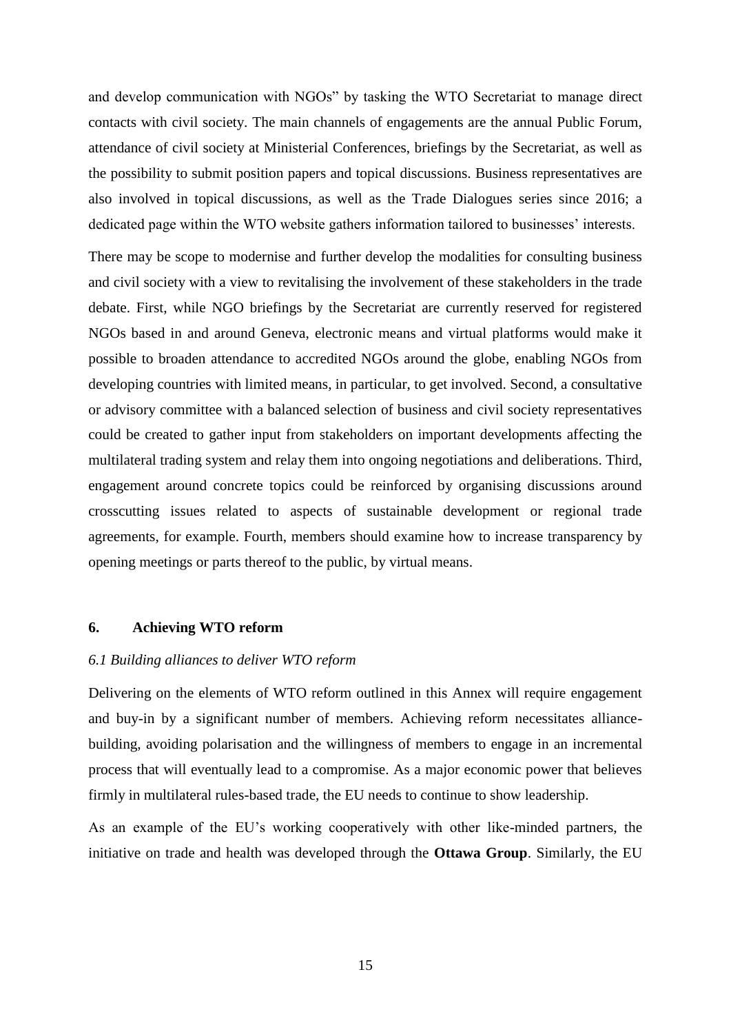and develop communication with NGOs" by tasking the WTO Secretariat to manage direct contacts with civil society. The main channels of engagements are the annual Public Forum, attendance of civil society at Ministerial Conferences, briefings by the Secretariat, as well as the possibility to submit position papers and topical discussions. Business representatives are also involved in topical discussions, as well as the Trade Dialogues series since 2016; a dedicated page within the WTO website gathers information tailored to businesses' interests.

There may be scope to modernise and further develop the modalities for consulting business and civil society with a view to revitalising the involvement of these stakeholders in the trade debate. First, while NGO briefings by the Secretariat are currently reserved for registered NGOs based in and around Geneva, electronic means and virtual platforms would make it possible to broaden attendance to accredited NGOs around the globe, enabling NGOs from developing countries with limited means, in particular, to get involved. Second, a consultative or advisory committee with a balanced selection of business and civil society representatives could be created to gather input from stakeholders on important developments affecting the multilateral trading system and relay them into ongoing negotiations and deliberations. Third, engagement around concrete topics could be reinforced by organising discussions around crosscutting issues related to aspects of sustainable development or regional trade agreements, for example. Fourth, members should examine how to increase transparency by opening meetings or parts thereof to the public, by virtual means.

#### **6. Achieving WTO reform**

#### *6.1 Building alliances to deliver WTO reform*

Delivering on the elements of WTO reform outlined in this Annex will require engagement and buy-in by a significant number of members. Achieving reform necessitates alliancebuilding, avoiding polarisation and the willingness of members to engage in an incremental process that will eventually lead to a compromise. As a major economic power that believes firmly in multilateral rules-based trade, the EU needs to continue to show leadership.

As an example of the EU's working cooperatively with other like-minded partners, the initiative on trade and health was developed through the **Ottawa Group**. Similarly, the EU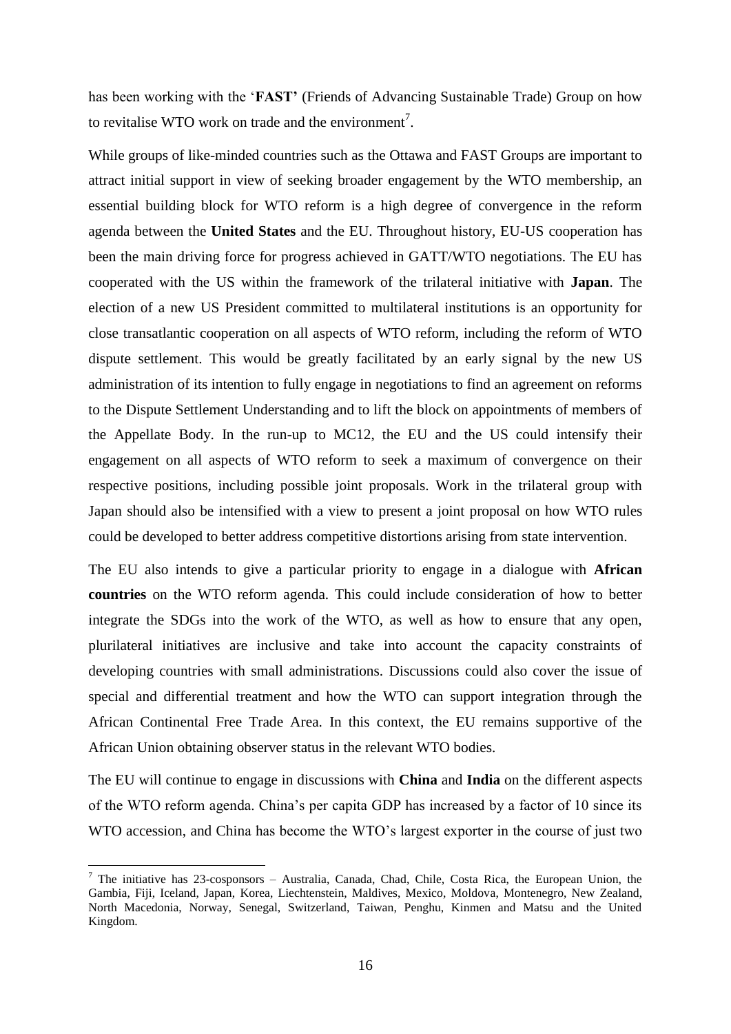has been working with the '**FAST'** (Friends of Advancing Sustainable Trade) Group on how to revitalise WTO work on trade and the environment<sup>7</sup>.

While groups of like-minded countries such as the Ottawa and FAST Groups are important to attract initial support in view of seeking broader engagement by the WTO membership, an essential building block for WTO reform is a high degree of convergence in the reform agenda between the **United States** and the EU. Throughout history, EU-US cooperation has been the main driving force for progress achieved in GATT/WTO negotiations. The EU has cooperated with the US within the framework of the trilateral initiative with **Japan**. The election of a new US President committed to multilateral institutions is an opportunity for close transatlantic cooperation on all aspects of WTO reform, including the reform of WTO dispute settlement. This would be greatly facilitated by an early signal by the new US administration of its intention to fully engage in negotiations to find an agreement on reforms to the Dispute Settlement Understanding and to lift the block on appointments of members of the Appellate Body. In the run-up to MC12, the EU and the US could intensify their engagement on all aspects of WTO reform to seek a maximum of convergence on their respective positions, including possible joint proposals. Work in the trilateral group with Japan should also be intensified with a view to present a joint proposal on how WTO rules could be developed to better address competitive distortions arising from state intervention.

The EU also intends to give a particular priority to engage in a dialogue with **African countries** on the WTO reform agenda. This could include consideration of how to better integrate the SDGs into the work of the WTO, as well as how to ensure that any open, plurilateral initiatives are inclusive and take into account the capacity constraints of developing countries with small administrations. Discussions could also cover the issue of special and differential treatment and how the WTO can support integration through the African Continental Free Trade Area. In this context, the EU remains supportive of the African Union obtaining observer status in the relevant WTO bodies.

The EU will continue to engage in discussions with **China** and **India** on the different aspects of the WTO reform agenda. China's per capita GDP has increased by a factor of 10 since its WTO accession, and China has become the WTO's largest exporter in the course of just two

<u>.</u>

 $<sup>7</sup>$  The initiative has 23-cosponsors – Australia, Canada, Chad, Chile, Costa Rica, the European Union, the</sup> Gambia, Fiji, Iceland, Japan, Korea, Liechtenstein, Maldives, Mexico, Moldova, Montenegro, New Zealand, North Macedonia, Norway, Senegal, Switzerland, Taiwan, Penghu, Kinmen and Matsu and the United Kingdom.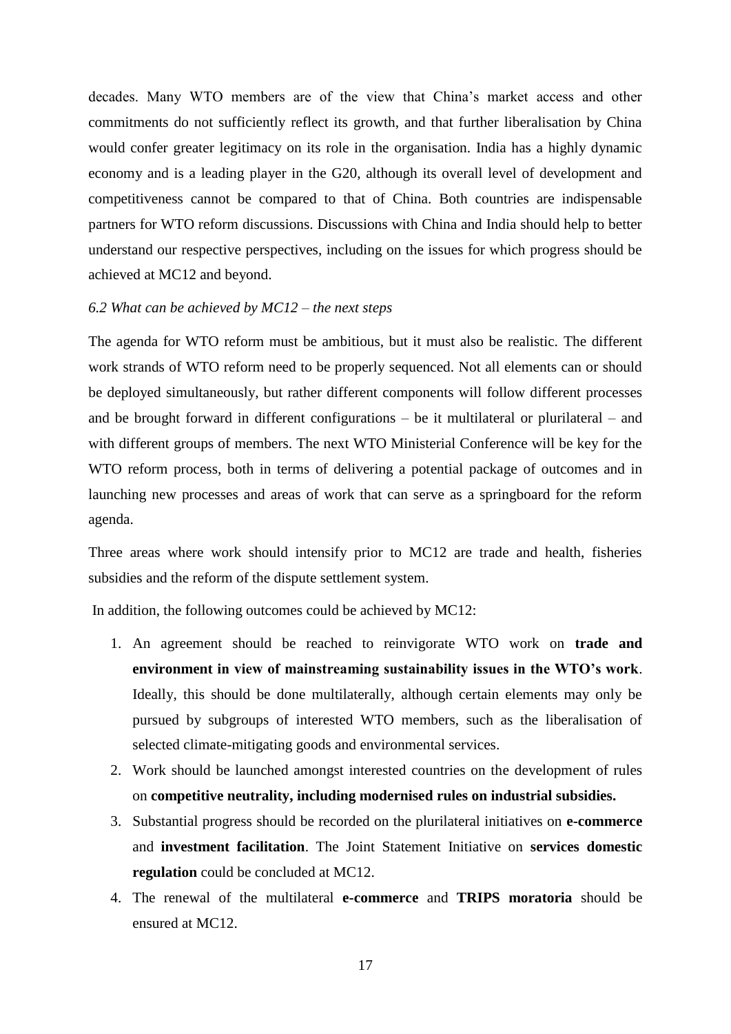decades. Many WTO members are of the view that China's market access and other commitments do not sufficiently reflect its growth, and that further liberalisation by China would confer greater legitimacy on its role in the organisation. India has a highly dynamic economy and is a leading player in the G20, although its overall level of development and competitiveness cannot be compared to that of China. Both countries are indispensable partners for WTO reform discussions. Discussions with China and India should help to better understand our respective perspectives, including on the issues for which progress should be achieved at MC12 and beyond.

# *6.2 What can be achieved by MC12 – the next steps*

The agenda for WTO reform must be ambitious, but it must also be realistic. The different work strands of WTO reform need to be properly sequenced. Not all elements can or should be deployed simultaneously, but rather different components will follow different processes and be brought forward in different configurations – be it multilateral or plurilateral – and with different groups of members. The next WTO Ministerial Conference will be key for the WTO reform process, both in terms of delivering a potential package of outcomes and in launching new processes and areas of work that can serve as a springboard for the reform agenda.

Three areas where work should intensify prior to MC12 are trade and health, fisheries subsidies and the reform of the dispute settlement system.

In addition, the following outcomes could be achieved by MC12:

- 1. An agreement should be reached to reinvigorate WTO work on **trade and environment in view of mainstreaming sustainability issues in the WTO's work**. Ideally, this should be done multilaterally, although certain elements may only be pursued by subgroups of interested WTO members, such as the liberalisation of selected climate-mitigating goods and environmental services.
- 2. Work should be launched amongst interested countries on the development of rules on **competitive neutrality, including modernised rules on industrial subsidies.**
- 3. Substantial progress should be recorded on the plurilateral initiatives on **e-commerce**  and **investment facilitation**. The Joint Statement Initiative on **services domestic regulation** could be concluded at MC12.
- 4. The renewal of the multilateral **e-commerce** and **TRIPS moratoria** should be ensured at MC12.